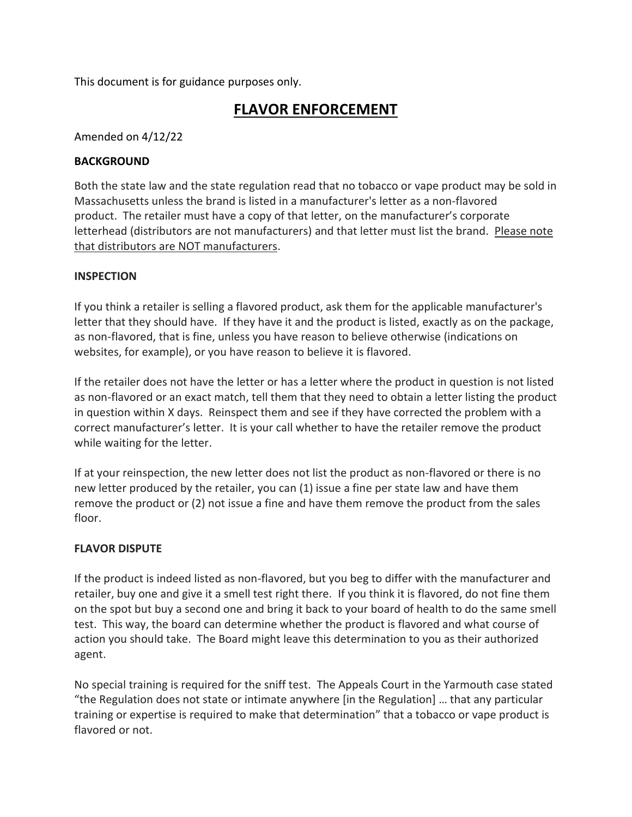This document is for guidance purposes only.

## **FLAVOR ENFORCEMENT**

Amended on 4/12/22

## **BACKGROUND**

Both the state law and the state regulation read that no tobacco or vape product may be sold in Massachusetts unless the brand is listed in a manufacturer's letter as a non-flavored product. The retailer must have a copy of that letter, on the manufacturer's corporate letterhead (distributors are not manufacturers) and that letter must list the brand. Please note that distributors are NOT manufacturers.

## **INSPECTION**

If you think a retailer is selling a flavored product, ask them for the applicable manufacturer's letter that they should have. If they have it and the product is listed, exactly as on the package, as non-flavored, that is fine, unless you have reason to believe otherwise (indications on websites, for example), or you have reason to believe it is flavored.

If the retailer does not have the letter or has a letter where the product in question is not listed as non-flavored or an exact match, tell them that they need to obtain a letter listing the product in question within X days. Reinspect them and see if they have corrected the problem with a correct manufacturer's letter. It is your call whether to have the retailer remove the product while waiting for the letter.

If at your reinspection, the new letter does not list the product as non-flavored or there is no new letter produced by the retailer, you can (1) issue a fine per state law and have them remove the product or (2) not issue a fine and have them remove the product from the sales floor.

## **FLAVOR DISPUTE**

If the product is indeed listed as non-flavored, but you beg to differ with the manufacturer and retailer, buy one and give it a smell test right there. If you think it is flavored, do not fine them on the spot but buy a second one and bring it back to your board of health to do the same smell test. This way, the board can determine whether the product is flavored and what course of action you should take. The Board might leave this determination to you as their authorized agent.

No special training is required for the sniff test. The Appeals Court in the Yarmouth case stated "the Regulation does not state or intimate anywhere [in the Regulation] … that any particular training or expertise is required to make that determination" that a tobacco or vape product is flavored or not.